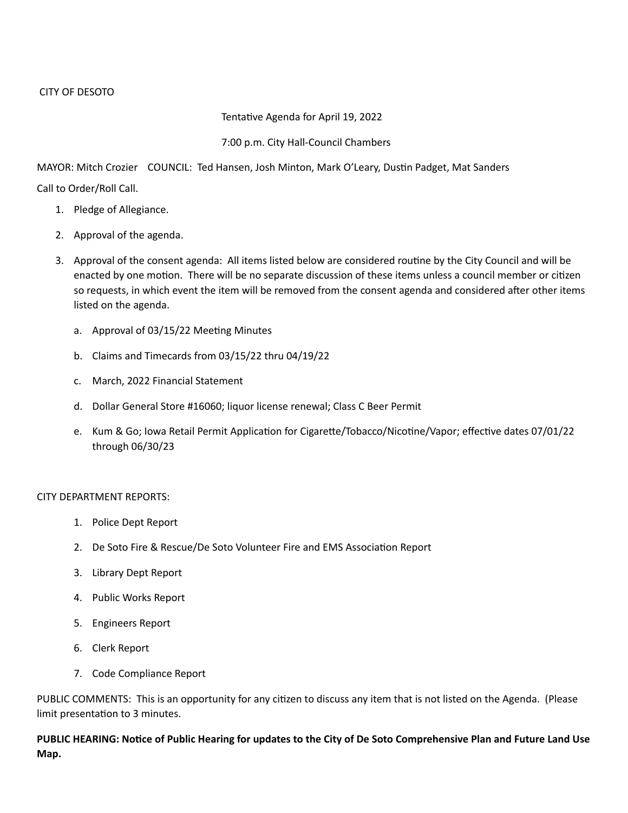## Tentative Agenda for April 19, 2022

## 7:00 p.m. City Hall-Council Chambers

MAYOR: Mitch Crozier COUNCIL: Ted Hansen, Josh Minton, Mark O'Leary, Dustin Padget, Mat Sanders

Call to Order/Roll Call.

- 1. Pledge of Allegiance.
- 2. Approval of the agenda.
- 3. Approval of the consent agenda: All items listed below are considered routine by the City Council and will be enacted by one motion. There will be no separate discussion of these items unless a council member or citizen so requests, in which event the item will be removed from the consent agenda and considered after other items listed on the agenda.
	- a. Approval of 03/15/22 Meeting Minutes
	- b. Claims and Timecards from 03/15/22 thru 04/19/22
	- c. March, 2022 Financial Statement
	- d. Dollar General Store #16060; liquor license renewal; Class C Beer Permit
	- e. Kum & Go; Iowa Retail Permit Application for Cigarette/Tobacco/Nicotine/Vapor; effective dates 07/01/22 through 06/30/23

## CITY DEPARTMENT REPORTS:

- 1. Police Dept Report
- 2. De Soto Fire & Rescue/De Soto Volunteer Fire and EMS Association Report
- 3. Library Dept Report
- 4. Public Works Report
- 5. Engineers Report
- 6. Clerk Report
- 7. Code Compliance Report

PUBLIC COMMENTS: This is an opportunity for any citizen to discuss any item that is not listed on the Agenda. (Please limit presentation to 3 minutes.

**PUBLIC HEARING: Notice of Public Hearing for updates to the City of De Soto Comprehensive Plan and Future Land Use Map.**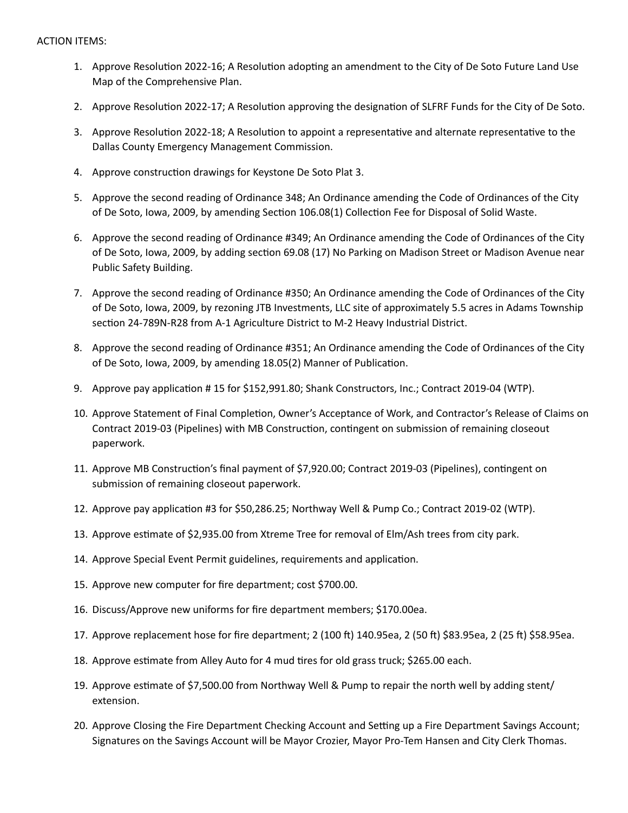- 1. Approve Resolution 2022-16; A Resolution adopting an amendment to the City of De Soto Future Land Use Map of the Comprehensive Plan.
- 2. Approve Resolution 2022-17; A Resolution approving the designation of SLFRF Funds for the City of De Soto.
- 3. Approve Resolution 2022-18; A Resolution to appoint a representative and alternate representative to the Dallas County Emergency Management Commission.
- 4. Approve construction drawings for Keystone De Soto Plat 3.
- 5. Approve the second reading of Ordinance 348; An Ordinance amending the Code of Ordinances of the City of De Soto, Iowa, 2009, by amending Section 106.08(1) Collection Fee for Disposal of Solid Waste.
- 6. Approve the second reading of Ordinance #349; An Ordinance amending the Code of Ordinances of the City of De Soto, Iowa, 2009, by adding section 69.08 (17) No Parking on Madison Street or Madison Avenue near Public Safety Building.
- 7. Approve the second reading of Ordinance #350; An Ordinance amending the Code of Ordinances of the City of De Soto, Iowa, 2009, by rezoning JTB Investments, LLC site of approximately 5.5 acres in Adams Township section 24-789N-R28 from A-1 Agriculture District to M-2 Heavy Industrial District.
- 8. Approve the second reading of Ordinance #351; An Ordinance amending the Code of Ordinances of the City of De Soto, Iowa, 2009, by amending 18.05(2) Manner of Publication.
- 9. Approve pay application # 15 for \$152,991.80; Shank Constructors, Inc.; Contract 2019-04 (WTP).
- 10. Approve Statement of Final Completion, Owner's Acceptance of Work, and Contractor's Release of Claims on Contract 2019-03 (Pipelines) with MB Construction, contingent on submission of remaining closeout paperwork.
- 11. Approve MB Construction's final payment of \$7,920.00; Contract 2019-03 (Pipelines), contingent on submission of remaining closeout paperwork.
- 12. Approve pay application #3 for \$50,286.25; Northway Well & Pump Co.; Contract 2019-02 (WTP).
- 13. Approve estimate of \$2,935.00 from Xtreme Tree for removal of Elm/Ash trees from city park.
- 14. Approve Special Event Permit guidelines, requirements and application.
- 15. Approve new computer for fire department; cost \$700.00.
- 16. Discuss/Approve new uniforms for fire department members; \$170.00ea.
- 17. Approve replacement hose for fire department; 2 (100 ft) 140.95ea, 2 (50 ft) \$83.95ea, 2 (25 ft) \$58.95ea.
- 18. Approve estimate from Alley Auto for 4 mud tires for old grass truck; \$265.00 each.
- 19. Approve estimate of \$7,500.00 from Northway Well & Pump to repair the north well by adding stent/ extension.
- 20. Approve Closing the Fire Department Checking Account and Setting up a Fire Department Savings Account; Signatures on the Savings Account will be Mayor Crozier, Mayor Pro-Tem Hansen and City Clerk Thomas.